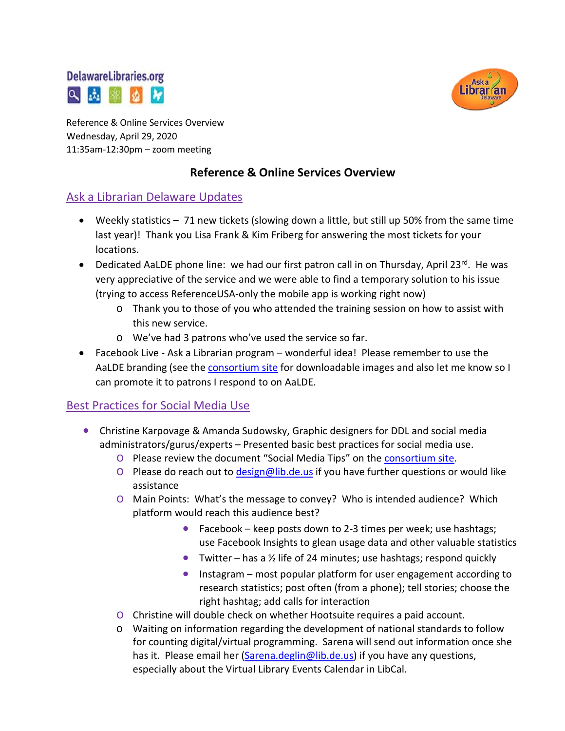# **DelawareLibraries.org** 2 五 率



Reference & Online Services Overview Wednesday, April 29, 2020 11:35am-12:30pm – zoom meeting

## **Reference & Online Services Overview**

## Ask a Librarian Delaware Updates

- Weekly statistics 71 new tickets (slowing down a little, but still up 50% from the same time last year)! Thank you Lisa Frank & Kim Friberg for answering the most tickets for your locations.
- Dedicated AaLDE phone line: we had our first patron call in on Thursday, April 23 $^{\text{rd}}$ . He was very appreciative of the service and we were able to find a temporary solution to his issue (trying to access ReferenceUSA-only the mobile app is working right now)
	- o Thank you to those of you who attended the training session on how to assist with this new service.
	- o We've had 3 patrons who've used the service so far.
- Facebook Live Ask a Librarian program wonderful idea! Please remember to use the AaLDE branding (see the [consortium site](https://consortium.lib.de.us/) for downloadable images and also let me know so I can promote it to patrons I respond to on AaLDE.

### Best Practices for Social Media Use

- Christine Karpovage & Amanda Sudowsky, Graphic designers for DDL and social media administrators/gurus/experts – Presented basic best practices for social media use.
	- o Please review the document "Social Media Tips" on the [consortium site.](https://consortium.lib.de.us/)
	- $\circ$  Please do reach out to [design@lib.de.us](mailto:design@lib.de.us) if you have further questions or would like assistance
	- o Main Points: What's the message to convey? Who is intended audience? Which platform would reach this audience best?
		- Facebook keep posts down to 2-3 times per week; use hashtags; use Facebook Insights to glean usage data and other valuable statistics
		- Twitter has a  $\frac{1}{2}$  life of 24 minutes; use hashtags; respond quickly
		- Instagram most popular platform for user engagement according to research statistics; post often (from a phone); tell stories; choose the right hashtag; add calls for interaction
	- o Christine will double check on whether Hootsuite requires a paid account.
	- o Waiting on information regarding the development of national standards to follow for counting digital/virtual programming. Sarena will send out information once she has it. Please email her [\(Sarena.deglin@lib.de.us\)](mailto:Sarena.deglin@lib.de.us) if you have any questions, especially about the Virtual Library Events Calendar in LibCal.